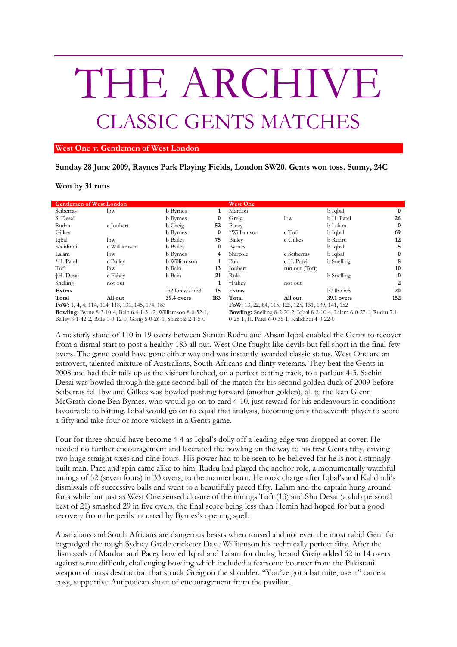## THE ARCHIVE CLASSIC GENTS MATCHES

## **West One v. Gentlemen of West London**

**Sunday 28 June 2009, Raynes Park Playing Fields, London SW20. Gents won toss. Sunny, 24C**

## **Won by 31 runs**

| <b>Gentlemen of West London</b>                                       |              |                 |          | <b>West One</b>                                                               |                |                |          |
|-----------------------------------------------------------------------|--------------|-----------------|----------|-------------------------------------------------------------------------------|----------------|----------------|----------|
| Sciberras                                                             | lbw          | <b>b</b> Byrnes |          | Mardon                                                                        |                | b Iqbal        | $\bf{0}$ |
| S. Desai                                                              |              | <b>b</b> Byrnes |          | Greig                                                                         | lbw            | b H. Patel     | 26       |
| Rudru                                                                 | c Joubert    | b Greig         | 52       | Pacey                                                                         |                | b Lalam        | $\bf{0}$ |
| Gilkes                                                                |              | <b>b</b> Byrnes | $\bf{0}$ | *Williamson                                                                   | c Toft         | b Iqbal        | 69       |
| Iqbal                                                                 | lbw          | <b>b</b> Bailey | 75       | Bailey                                                                        | c Gilkes       | b Rudru        | 12       |
| Kalidindi                                                             | c Williamson | <b>b</b> Bailey | 0        | <b>Byrnes</b>                                                                 |                | b Iqbal        | 5        |
| Lalam                                                                 | lbw          | <b>b</b> Byrnes | 4        | Shircole                                                                      | c Sciberras    | b Iqbal        | $\bf{0}$ |
| *H. Patel                                                             | c Bailey     | b Williamson    |          | Bain                                                                          | c H. Patel     | b Snelling     | 8        |
| Toft                                                                  | lbw          | b Bain          | 13       | Joubert                                                                       | run out (Toft) |                | 10       |
| †H. Desai                                                             | c Fahev      | b Bain          | 21       | Rule                                                                          |                | b Snelling     | $\bf{0}$ |
| Snelling                                                              | not out      |                 |          | †Fahey                                                                        | not out        |                | 2        |
| Extras                                                                |              | b2 lb3 w7 nb3   | 15       | Extras                                                                        |                | $b7$ lb5 w $8$ | 20       |
| Total                                                                 | All out      | 39.4 overs      | 183      | Total                                                                         | All out        | 39.1 overs     | 152      |
| FoW: 1, 4, 4, 114, 114, 118, 131, 145, 174, 183                       |              |                 |          | FoW: 13, 22, 84, 115, 125, 125, 131, 139, 141, 152                            |                |                |          |
| <b>Bowling:</b> Byrne 8-3-10-4, Bain 6.4-1-31-2, Williamson 8-0-52-1, |              |                 |          | <b>Bowling:</b> Snelling 8-2-20-2, Iqbal 8-2-10-4, Lalam 6-0-27-1, Rudru 7.1- |                |                |          |
|                                                                       |              |                 |          | $\land$ are in $\Box$ in the state of the state $\land$                       |                |                |          |

Bailey 8-1-42-2, Rule 1-0-12-0, Greig 6-0-26-1, Shircole 2-1-5-0

0-25-1, H. Patel 6-0-36-1, Kalidindi 4-0-22-0

A masterly stand of 110 in 19 overs between Suman Rudru and Ahsan Iqbal enabled the Gents to recover from a dismal start to post a healthy 183 all out. West One fought like devils but fell short in the final few overs. The game could have gone either way and was instantly awarded classic status. West One are an extrovert, talented mixture of Australians, South Africans and flinty veterans. They beat the Gents in 2008 and had their tails up as the visitors lurched, on a perfect batting track, to a parlous 4-3. Sachin Desai was bowled through the gate second ball of the match for his second golden duck of 2009 before Sciberras fell lbw and Gilkes was bowled pushing forward (another golden), all to the lean Glenn McGrath clone Ben Byrnes, who would go on to card 4-10, just reward for his endeavours in conditions favourable to batting. Iqbal would go on to equal that analysis, becoming only the seventh player to score a fifty and take four or more wickets in a Gents game.

Four for three should have become 4-4 as Iqbal's dolly off a leading edge was dropped at cover. He needed no further encouragement and lacerated the bowling on the way to his first Gents fifty, driving two huge straight sixes and nine fours. His power had to be seen to be believed for he is not a stronglybuilt man. Pace and spin came alike to him. Rudru had played the anchor role, a monumentally watchful innings of 52 (seven fours) in 33 overs, to the manner born. He took charge after Iqbal's and Kalidindi's dismissals off successive balls and went to a beautifully paced fifty. Lalam and the captain hung around for a while but just as West One sensed closure of the innings Toft (13) and Shu Desai (a club personal best of 21) smashed 29 in five overs, the final score being less than Hemin had hoped for but a good recovery from the perils incurred by Byrnes's opening spell.

Australians and South Africans are dangerous beasts when roused and not even the most rabid Gent fan begrudged the tough Sydney Grade cricketer Dave Williamson his technically perfect fifty. After the dismissals of Mardon and Pacey bowled Iqbal and Lalam for ducks, he and Greig added 62 in 14 overs against some difficult, challenging bowling which included a fearsome bouncer from the Pakistani weapon of mass destruction that struck Greig on the shoulder. "You've got a bat mite, use it" came a cosy, supportive Antipodean shout of encouragement from the pavilion.